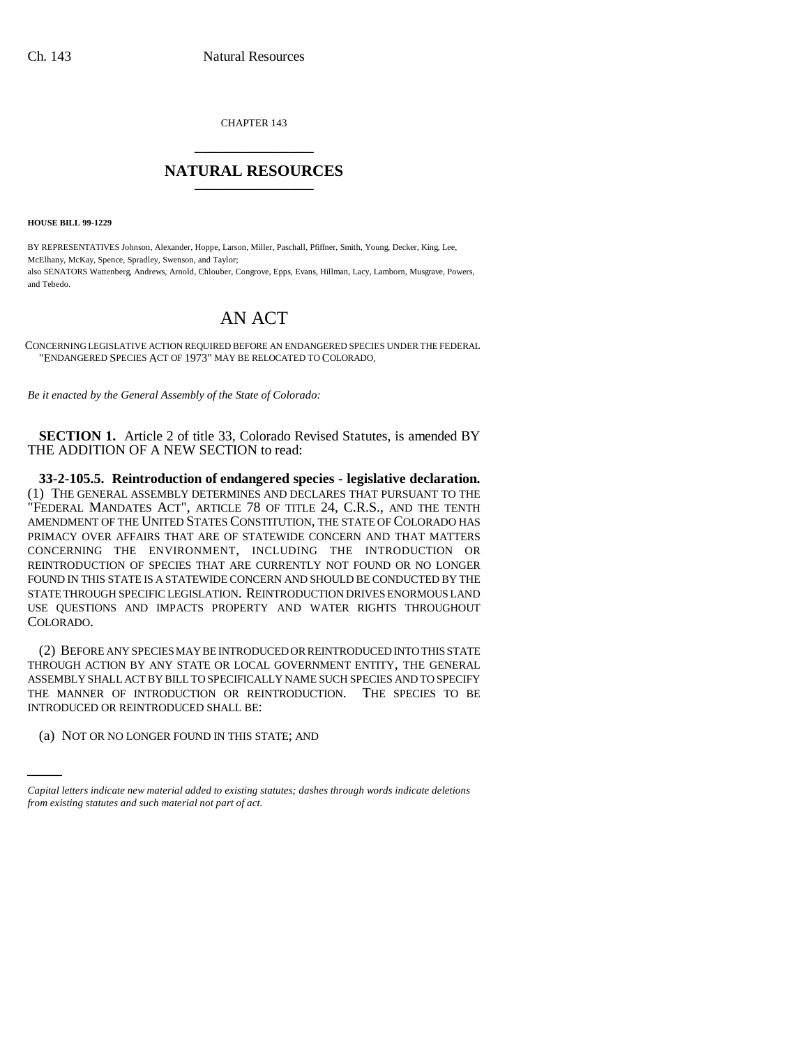CHAPTER 143 \_\_\_\_\_\_\_\_\_\_\_\_\_\_\_

## **NATURAL RESOURCES** \_\_\_\_\_\_\_\_\_\_\_\_\_\_\_

**HOUSE BILL 99-1229** 

BY REPRESENTATIVES Johnson, Alexander, Hoppe, Larson, Miller, Paschall, Pfiffner, Smith, Young, Decker, King, Lee, McElhany, McKay, Spence, Spradley, Swenson, and Taylor; also SENATORS Wattenberg, Andrews, Arnold, Chlouber, Congrove, Epps, Evans, Hillman, Lacy, Lamborn, Musgrave, Powers, and Tebedo.

## AN ACT

CONCERNING LEGISLATIVE ACTION REQUIRED BEFORE AN ENDANGERED SPECIES UNDER THE FEDERAL "ENDANGERED SPECIES ACT OF 1973" MAY BE RELOCATED TO COLORADO.

*Be it enacted by the General Assembly of the State of Colorado:*

**SECTION 1.** Article 2 of title 33, Colorado Revised Statutes, is amended BY THE ADDITION OF A NEW SECTION to read:

**33-2-105.5. Reintroduction of endangered species - legislative declaration.** (1) THE GENERAL ASSEMBLY DETERMINES AND DECLARES THAT PURSUANT TO THE "FEDERAL MANDATES ACT", ARTICLE 78 OF TITLE 24, C.R.S., AND THE TENTH AMENDMENT OF THE UNITED STATES CONSTITUTION, THE STATE OF COLORADO HAS PRIMACY OVER AFFAIRS THAT ARE OF STATEWIDE CONCERN AND THAT MATTERS CONCERNING THE ENVIRONMENT, INCLUDING THE INTRODUCTION OR REINTRODUCTION OF SPECIES THAT ARE CURRENTLY NOT FOUND OR NO LONGER FOUND IN THIS STATE IS A STATEWIDE CONCERN AND SHOULD BE CONDUCTED BY THE STATE THROUGH SPECIFIC LEGISLATION. REINTRODUCTION DRIVES ENORMOUS LAND USE QUESTIONS AND IMPACTS PROPERTY AND WATER RIGHTS THROUGHOUT COLORADO.

INTRODUCED OR REINTRODUCED SHALL BE: (2) BEFORE ANY SPECIES MAY BE INTRODUCED OR REINTRODUCED INTO THIS STATE THROUGH ACTION BY ANY STATE OR LOCAL GOVERNMENT ENTITY, THE GENERAL ASSEMBLY SHALL ACT BY BILL TO SPECIFICALLY NAME SUCH SPECIES AND TO SPECIFY THE MANNER OF INTRODUCTION OR REINTRODUCTION. THE SPECIES TO BE

(a) NOT OR NO LONGER FOUND IN THIS STATE; AND

*Capital letters indicate new material added to existing statutes; dashes through words indicate deletions from existing statutes and such material not part of act.*